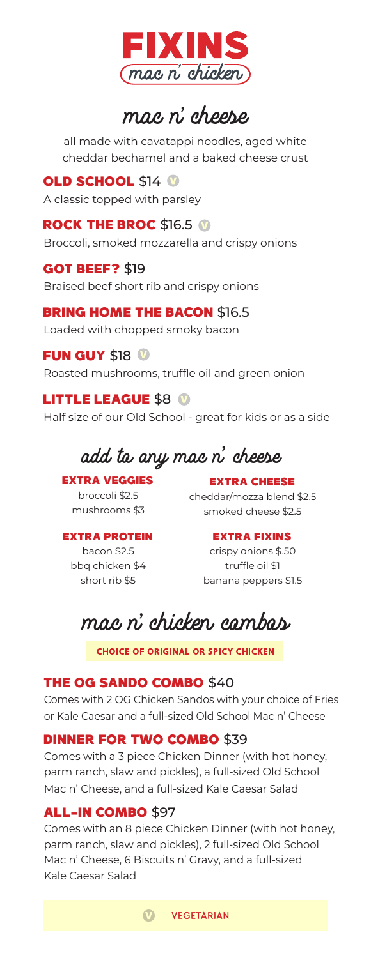

# mac n' cheese

all made with cavatappi noodles, aged white cheddar bechamel and a baked cheese crust

## **OLD SCHOOL \$14 W**

A classic topped with parsley

## **ROCK THE BROC \$16.5 M** Broccoli, smoked mozzarella and crispy onions

### **GOT BEEF? \$19** Braised beef short rib and crispy onions

## **BRING HOME THE BACON \$16.5**

Loaded with chopped smoky bacon

## **FUN GUY \$18 W**

Roasted mushrooms, truffle oil and green onion

## LITTLE LEAGUE \$8

Half size of our Old School - great for kids or as a side

# add to any mac n' cheese

extra veggies broccoli \$2.5 mushrooms \$3

extra cheese cheddar/mozza blend \$2.5 smoked cheese \$2.5

## extra protein

bacon \$2.5 bbq chicken \$4 short rib \$5

#### extra fixins

crispy onions \$.50 truffle oil \$1 banana peppers \$1.5

mac n' chicken combos

CHOICE OF ORIGINAL OR SPICY CHICKEN

## **THE OG SANDO COMBO \$40**

Comes with 2 OG Chicken Sandos with your choice of Fries or Kale Caesar and a full-sized Old School Mac n' Cheese

## **DINNER FOR TWO COMBO \$39**

Comes with a 3 piece Chicken Dinner (with hot honey, parm ranch, slaw and pickles), a full-sized Old School Mac n' Cheese, and a full-sized Kale Caesar Salad

### **ALL-IN COMBO \$97**

Comes with an 8 piece Chicken Dinner (with hot honey, parm ranch, slaw and pickles), 2 full-sized Old School Mac n' Cheese, 6 Biscuits n' Gravy, and a full-sized Kale Caesar Salad